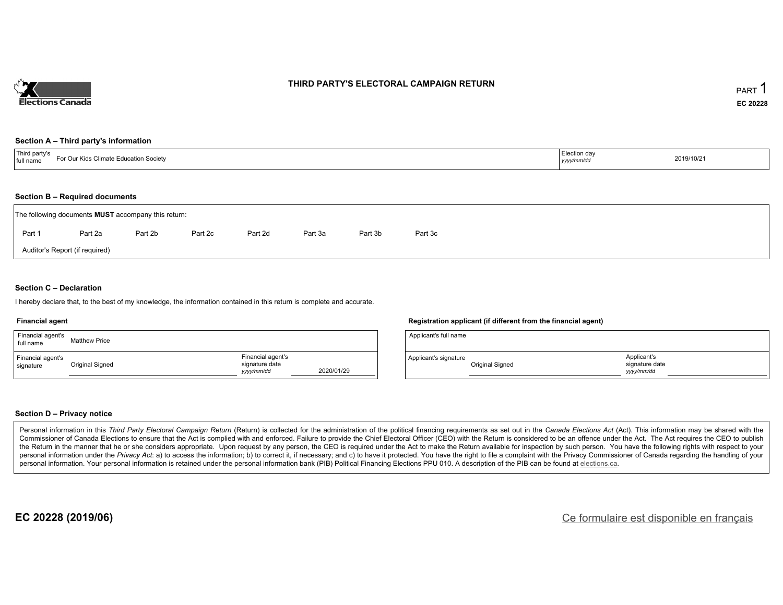

### **THIRD PARTY'S ELECTORAL CAMPAIGN RETURN**

#### **Section A – Third party's information**

| $^{\dagger}$ Thira<br>$-0.00$<br>limate l<br>Education Society<br>⊥full nam<br><b>IN 11.1</b> | ∴tion da<br>-------<br>, yyyyı | 2019/10/21 |
|-----------------------------------------------------------------------------------------------|--------------------------------|------------|
|-----------------------------------------------------------------------------------------------|--------------------------------|------------|

#### **Section B – Required documents**

|        | The following documents <b>MUST</b> accompany this return: |         |         |         |         |         |         |  |  |  |  |  |
|--------|------------------------------------------------------------|---------|---------|---------|---------|---------|---------|--|--|--|--|--|
| Part 1 | Part 2a                                                    | Part 2b | Part 2c | Part 2d | Part 3a | Part 3b | Part 3c |  |  |  |  |  |
|        | Auditor's Report (if required)                             |         |         |         |         |         |         |  |  |  |  |  |

### **Section C – Declaration**

I hereby declare that, to the best of my knowledge, the information contained in this return is complete and accurate.

#### **Financial agent**

| Financial agent's<br>full name | <b>Matthew Price</b> |                                                   |            |
|--------------------------------|----------------------|---------------------------------------------------|------------|
| Financial agent's<br>signature | Original Signed      | Financial agent's<br>signature date<br>yyyy/mm/dd | 2020/01/29 |

### **Registration applicant (if different from the financial agent)**

| Applicant's full name |                 |                                            |
|-----------------------|-----------------|--------------------------------------------|
| Applicant's signature | Original Signed | Applicant's<br>signature date<br>vyy/mm/dd |

### **Section D – Privacy notice**

Personal information in this Third Party Electoral Campaign Return (Return) is collected for the administration of the political financing requirements as set out in the Canada Elections Act (Act). This information may be Commissioner of Canada Elections to ensure that the Act is complied with and enforced. Failure to provide the Chief Electoral Officer (CEO) with the Return is considered to be an offence under the Act. The Act requires the the Return in the manner that he or she considers appropriate. Upon request by any person, the CEO is required under the Act to make the Return available for inspection by such person. You have the following rights with re personal information under the Privacy Act: a) to access the information; b) to correct it, if necessary; and c) to have it protected. You have the right to file a complaint with the Privacy Commissioner of Canada regardin personal information. Your personal information is retained under the personal information bank (PIB) Political Financing Elections PPU 010. A description of the PIB can be found at elections.ca.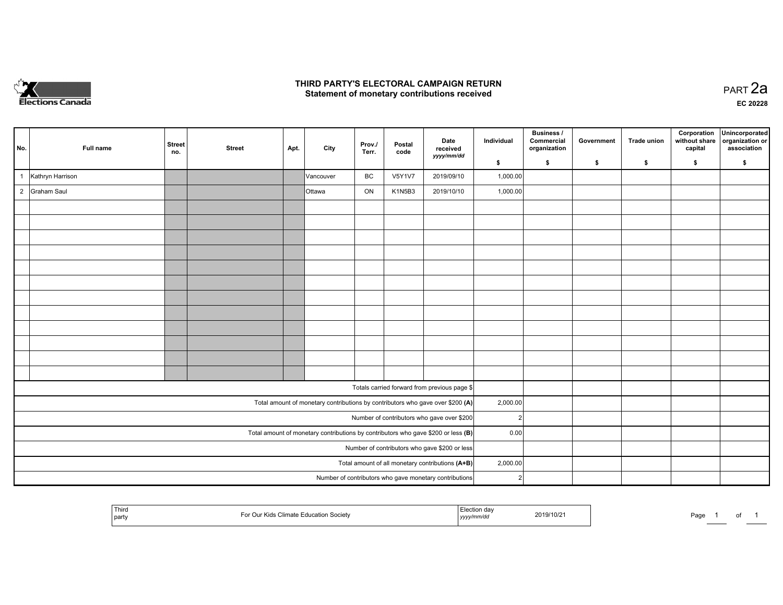

### **THIRD PARTY'S ELECTORAL CAMPAIGN RETURN HIRD PARTY'S ELECTORAL CAMPAIGN RETURN<br>Statement of monetary contributions received PART 2a PART 2a**

**EC 20228**

| No.                                                                                 | Full name        | <b>Street</b><br>no. | <b>Street</b> | Apt. | City          | Prov./<br>Terr. | Postal<br>code | Date<br>received<br>yyyy/mm/dd                                                 | Individual     | Business /<br>Commercial<br>organization | Government | Trade union | Corporation<br>without share<br>capital | Unincorporated<br>organization or<br>association |
|-------------------------------------------------------------------------------------|------------------|----------------------|---------------|------|---------------|-----------------|----------------|--------------------------------------------------------------------------------|----------------|------------------------------------------|------------|-------------|-----------------------------------------|--------------------------------------------------|
|                                                                                     |                  |                      |               |      |               |                 |                |                                                                                | \$             | \$                                       | \$         | \$          | \$                                      | \$                                               |
|                                                                                     | Kathryn Harrison |                      |               |      | Vancouver     | BC              | <b>V5Y1V7</b>  | 2019/09/10                                                                     | 1,000.00       |                                          |            |             |                                         |                                                  |
| $\overline{2}$                                                                      | Graham Saul      |                      |               |      | <b>Ottawa</b> | ON              | K1N5B3         | 2019/10/10                                                                     | 1,000.00       |                                          |            |             |                                         |                                                  |
|                                                                                     |                  |                      |               |      |               |                 |                |                                                                                |                |                                          |            |             |                                         |                                                  |
|                                                                                     |                  |                      |               |      |               |                 |                |                                                                                |                |                                          |            |             |                                         |                                                  |
|                                                                                     |                  |                      |               |      |               |                 |                |                                                                                |                |                                          |            |             |                                         |                                                  |
|                                                                                     |                  |                      |               |      |               |                 |                |                                                                                |                |                                          |            |             |                                         |                                                  |
|                                                                                     |                  |                      |               |      |               |                 |                |                                                                                |                |                                          |            |             |                                         |                                                  |
|                                                                                     |                  |                      |               |      |               |                 |                |                                                                                |                |                                          |            |             |                                         |                                                  |
|                                                                                     |                  |                      |               |      |               |                 |                |                                                                                |                |                                          |            |             |                                         |                                                  |
|                                                                                     |                  |                      |               |      |               |                 |                |                                                                                |                |                                          |            |             |                                         |                                                  |
|                                                                                     |                  |                      |               |      |               |                 |                |                                                                                |                |                                          |            |             |                                         |                                                  |
|                                                                                     |                  |                      |               |      |               |                 |                |                                                                                |                |                                          |            |             |                                         |                                                  |
|                                                                                     |                  |                      |               |      |               |                 |                |                                                                                |                |                                          |            |             |                                         |                                                  |
|                                                                                     |                  |                      |               |      |               |                 |                |                                                                                |                |                                          |            |             |                                         |                                                  |
|                                                                                     |                  |                      |               |      |               |                 |                | Totals carried forward from previous page \$                                   |                |                                          |            |             |                                         |                                                  |
|                                                                                     |                  |                      |               |      |               |                 |                | Total amount of monetary contributions by contributors who gave over \$200 (A) | 2,000.00       |                                          |            |             |                                         |                                                  |
|                                                                                     |                  |                      |               |      |               |                 |                | Number of contributors who gave over \$200                                     | $\mathcal{P}$  |                                          |            |             |                                         |                                                  |
| Total amount of monetary contributions by contributors who gave \$200 or less $(B)$ |                  |                      |               |      |               |                 |                | 0.00                                                                           |                |                                          |            |             |                                         |                                                  |
|                                                                                     |                  |                      |               |      |               |                 |                | Number of contributors who gave \$200 or less                                  |                |                                          |            |             |                                         |                                                  |
|                                                                                     |                  |                      |               |      |               |                 |                | Total amount of all monetary contributions (A+B)                               | 2,000.00       |                                          |            |             |                                         |                                                  |
|                                                                                     |                  |                      |               |      |               |                 |                | Number of contributors who gave monetary contributions                         | $\overline{2}$ |                                          |            |             |                                         |                                                  |
|                                                                                     |                  |                      |               |      |               |                 |                |                                                                                |                |                                          |            |             |                                         |                                                  |

|  | $T_{\rm{B}}$<br>.<br>part<br>. . | -car<br>2019/10/2<br>,,,,,<br>,,,,, | Pa <sub>0</sub><br>. |
|--|----------------------------------|-------------------------------------|----------------------|
|--|----------------------------------|-------------------------------------|----------------------|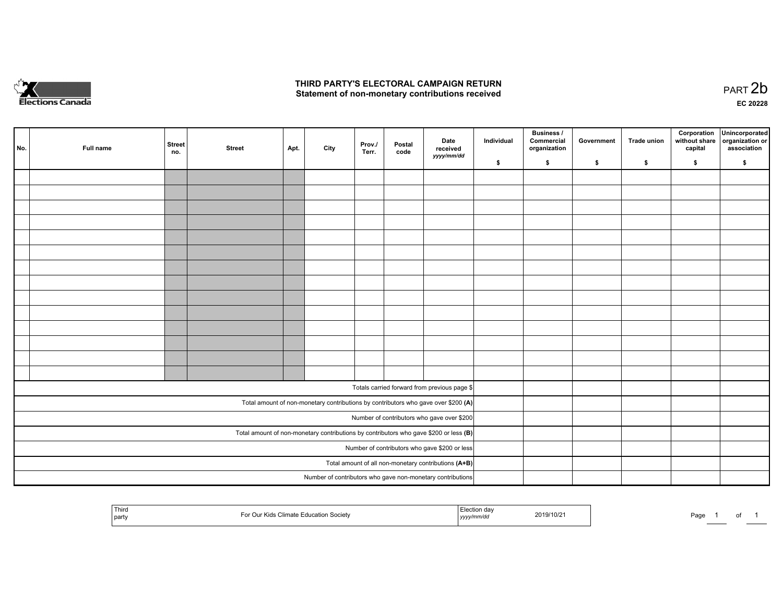

## **THIRD PARTY'S ELECTORAL CAMPAIGN RETURN**  THIRD PARTY'S ELECTORAL CAMPAIGN RETURN<br>Statement of non-monetary contributions received

of 1

| No. | Full name | <b>Street</b><br>no. | <b>Street</b> | Apt. | City | Prov./<br>Terr. | Postal<br>code | Date<br>received<br>yyyy/mm/dd                                                          | Individual | <b>Business /</b><br>Commercial<br>organization | Government | Trade union | Corporation<br>without share<br>capital | Unincorporated<br>organization or<br>association |
|-----|-----------|----------------------|---------------|------|------|-----------------|----------------|-----------------------------------------------------------------------------------------|------------|-------------------------------------------------|------------|-------------|-----------------------------------------|--------------------------------------------------|
|     |           |                      |               |      |      |                 |                |                                                                                         | \$         | \$                                              | \$         | \$          | \$                                      | \$                                               |
|     |           |                      |               |      |      |                 |                |                                                                                         |            |                                                 |            |             |                                         |                                                  |
|     |           |                      |               |      |      |                 |                |                                                                                         |            |                                                 |            |             |                                         |                                                  |
|     |           |                      |               |      |      |                 |                |                                                                                         |            |                                                 |            |             |                                         |                                                  |
|     |           |                      |               |      |      |                 |                |                                                                                         |            |                                                 |            |             |                                         |                                                  |
|     |           |                      |               |      |      |                 |                |                                                                                         |            |                                                 |            |             |                                         |                                                  |
|     |           |                      |               |      |      |                 |                |                                                                                         |            |                                                 |            |             |                                         |                                                  |
|     |           |                      |               |      |      |                 |                |                                                                                         |            |                                                 |            |             |                                         |                                                  |
|     |           |                      |               |      |      |                 |                |                                                                                         |            |                                                 |            |             |                                         |                                                  |
|     |           |                      |               |      |      |                 |                |                                                                                         |            |                                                 |            |             |                                         |                                                  |
|     |           |                      |               |      |      |                 |                |                                                                                         |            |                                                 |            |             |                                         |                                                  |
|     |           |                      |               |      |      |                 |                |                                                                                         |            |                                                 |            |             |                                         |                                                  |
|     |           |                      |               |      |      |                 |                |                                                                                         |            |                                                 |            |             |                                         |                                                  |
|     |           |                      |               |      |      |                 |                |                                                                                         |            |                                                 |            |             |                                         |                                                  |
|     |           |                      |               |      |      |                 |                |                                                                                         |            |                                                 |            |             |                                         |                                                  |
|     |           |                      |               |      |      |                 |                |                                                                                         |            |                                                 |            |             |                                         |                                                  |
|     |           |                      |               |      |      |                 |                | Totals carried forward from previous page \$                                            |            |                                                 |            |             |                                         |                                                  |
|     |           |                      |               |      |      |                 |                | Total amount of non-monetary contributions by contributors who gave over \$200 (A)      |            |                                                 |            |             |                                         |                                                  |
|     |           |                      |               |      |      |                 |                | Number of contributors who gave over \$200                                              |            |                                                 |            |             |                                         |                                                  |
|     |           |                      |               |      |      |                 |                | Total amount of non-monetary contributions by contributors who gave \$200 or less $(B)$ |            |                                                 |            |             |                                         |                                                  |
|     |           |                      |               |      |      |                 |                | Number of contributors who gave \$200 or less                                           |            |                                                 |            |             |                                         |                                                  |
|     |           |                      |               |      |      |                 |                | Total amount of all non-monetary contributions (A+B)                                    |            |                                                 |            |             |                                         |                                                  |
|     |           |                      |               |      |      |                 |                | Number of contributors who gave non-monetary contributions                              |            |                                                 |            |             |                                         |                                                  |

| ' Thira<br>l party | ліг Kids Climate Г<br><b>Education Society</b> | Election day<br>2019/10/21<br>yyyy/mm/dd | Page<br>and the control of the |
|--------------------|------------------------------------------------|------------------------------------------|--------------------------------|
|--------------------|------------------------------------------------|------------------------------------------|--------------------------------|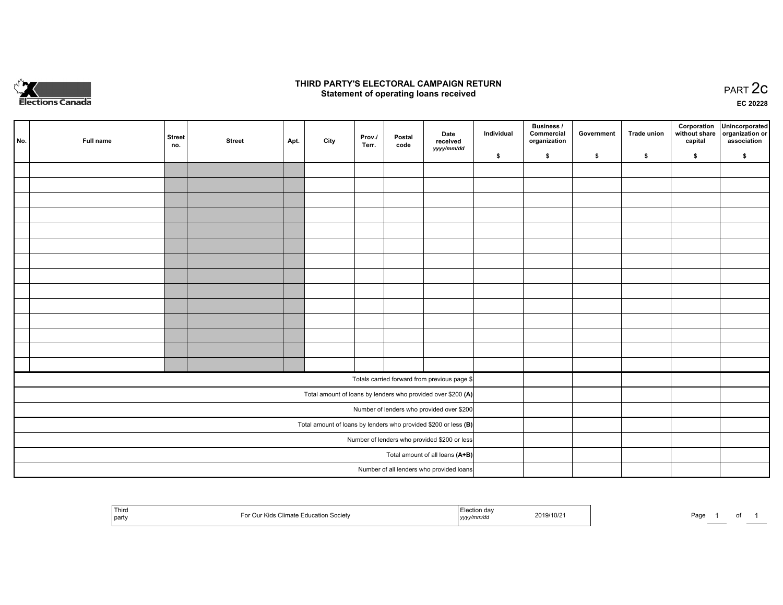

## **THIRD PARTY'S ELECTORAL CAMPAIGN RETURN STATE:** PRACT OF OPPRESS TO PART 2C STATE STATE STATE STATE STATE STATE STATE STATE STATE STATE STATE STATE STA<br>PART 2C Statement of operating loans received

**EC 20228**

| No. | Full name | <b>Street</b><br>no. | <b>Street</b> | Apt. | City | Prov./<br>Terr. | Postal<br>code | Date<br>received                                                | Individual | <b>Business /</b><br>Commercial<br>organization | Government | <b>Trade union</b> | Corporation<br>capital | Unincorporated<br>without share   organization or<br>association |
|-----|-----------|----------------------|---------------|------|------|-----------------|----------------|-----------------------------------------------------------------|------------|-------------------------------------------------|------------|--------------------|------------------------|------------------------------------------------------------------|
|     |           |                      |               |      |      |                 |                | yyyy/mm/dd                                                      | \$         | \$                                              | \$         | \$                 | \$                     | \$                                                               |
|     |           |                      |               |      |      |                 |                |                                                                 |            |                                                 |            |                    |                        |                                                                  |
|     |           |                      |               |      |      |                 |                |                                                                 |            |                                                 |            |                    |                        |                                                                  |
|     |           |                      |               |      |      |                 |                |                                                                 |            |                                                 |            |                    |                        |                                                                  |
|     |           |                      |               |      |      |                 |                |                                                                 |            |                                                 |            |                    |                        |                                                                  |
|     |           |                      |               |      |      |                 |                |                                                                 |            |                                                 |            |                    |                        |                                                                  |
|     |           |                      |               |      |      |                 |                |                                                                 |            |                                                 |            |                    |                        |                                                                  |
|     |           |                      |               |      |      |                 |                |                                                                 |            |                                                 |            |                    |                        |                                                                  |
|     |           |                      |               |      |      |                 |                |                                                                 |            |                                                 |            |                    |                        |                                                                  |
|     |           |                      |               |      |      |                 |                |                                                                 |            |                                                 |            |                    |                        |                                                                  |
|     |           |                      |               |      |      |                 |                |                                                                 |            |                                                 |            |                    |                        |                                                                  |
|     |           |                      |               |      |      |                 |                |                                                                 |            |                                                 |            |                    |                        |                                                                  |
|     |           |                      |               |      |      |                 |                |                                                                 |            |                                                 |            |                    |                        |                                                                  |
|     |           |                      |               |      |      |                 |                |                                                                 |            |                                                 |            |                    |                        |                                                                  |
|     |           |                      |               |      |      |                 |                |                                                                 |            |                                                 |            |                    |                        |                                                                  |
|     |           |                      |               |      |      |                 |                | Totals carried forward from previous page \$                    |            |                                                 |            |                    |                        |                                                                  |
|     |           |                      |               |      |      |                 |                | Total amount of loans by lenders who provided over \$200 (A)    |            |                                                 |            |                    |                        |                                                                  |
|     |           |                      |               |      |      |                 |                | Number of lenders who provided over \$200                       |            |                                                 |            |                    |                        |                                                                  |
|     |           |                      |               |      |      |                 |                | Total amount of loans by lenders who provided \$200 or less (B) |            |                                                 |            |                    |                        |                                                                  |
|     |           |                      |               |      |      |                 |                | Number of lenders who provided \$200 or less                    |            |                                                 |            |                    |                        |                                                                  |
|     |           |                      |               |      |      |                 |                | Total amount of all loans (A+B)                                 |            |                                                 |            |                    |                        |                                                                  |
|     |           |                      |               |      |      |                 |                | Number of all lenders who provided loans                        |            |                                                 |            |                    |                        |                                                                  |

| <sup>1</sup> Third<br>tion Society<br>$\sim$<br>l party | ∸da√<br>2019/10/21<br>$\sim$<br>n<br><u>  yyyy</u> | Page |
|---------------------------------------------------------|----------------------------------------------------|------|
|---------------------------------------------------------|----------------------------------------------------|------|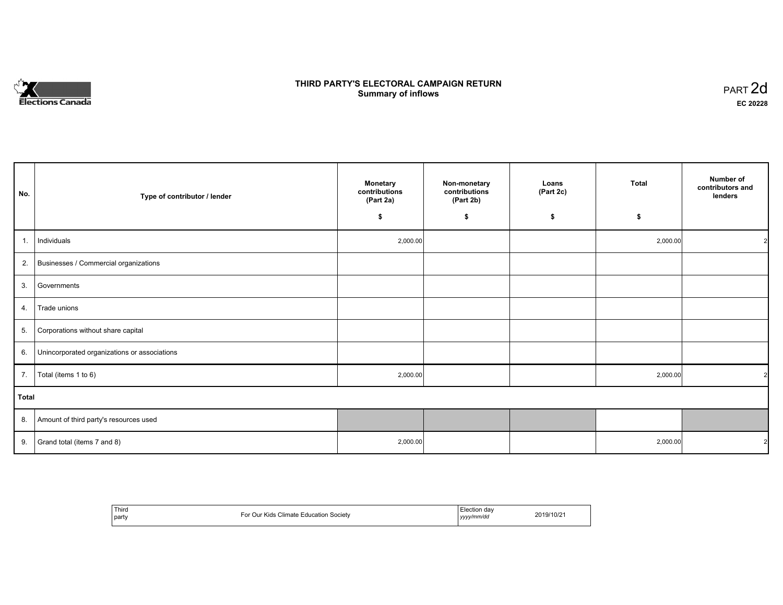

# **THIRD PARTY'S ELECTORAL CAMPAIGN RETURN S** ELECTORAL CAMPAIGN RETURN<br>Summary of inflows PART 2d

| No. | Type of contributor / lender                    | <b>Monetary</b><br>contributions<br>(Part 2a) | Non-monetary<br>contributions<br>(Part 2b) | Loans<br>(Part 2c) | <b>Total</b> | Number of<br>contributors and<br>lenders |  |
|-----|-------------------------------------------------|-----------------------------------------------|--------------------------------------------|--------------------|--------------|------------------------------------------|--|
|     |                                                 | \$                                            | \$                                         | \$                 | \$           |                                          |  |
| 1.  | Individuals                                     | 2,000.00                                      |                                            |                    | 2,000.00     |                                          |  |
|     | 2. Businesses / Commercial organizations        |                                               |                                            |                    |              |                                          |  |
|     | 3. Governments                                  |                                               |                                            |                    |              |                                          |  |
| 4.  | Trade unions                                    |                                               |                                            |                    |              |                                          |  |
|     | 5. Corporations without share capital           |                                               |                                            |                    |              |                                          |  |
|     | 6. Unincorporated organizations or associations |                                               |                                            |                    |              |                                          |  |
| 7.  | Total (items 1 to 6)                            | 2,000.00                                      |                                            |                    | 2,000.00     |                                          |  |
|     | Total                                           |                                               |                                            |                    |              |                                          |  |
|     | 8. Amount of third party's resources used       |                                               |                                            |                    |              |                                          |  |
|     | 9. Grand total (items $7$ and $8$ )             | 2,000.00                                      |                                            |                    | 2,000.00     |                                          |  |

| Third<br>party | $\sim$<br>⊿limate ∶<br>Kids<br>∈ducation<br>. Societv<br>'ω<br>$\mathcal{L}$ | lection<br>vvvv/mm/dd<br>,,,, | $\sim$ $\sim$<br>2019/10/z |
|----------------|------------------------------------------------------------------------------|-------------------------------|----------------------------|
|----------------|------------------------------------------------------------------------------|-------------------------------|----------------------------|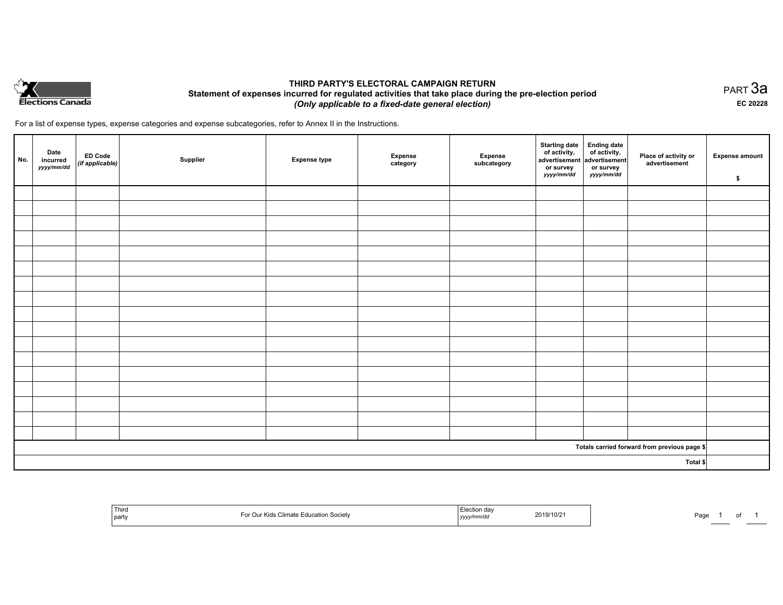

## **THIRD PARTY'S ELECTORAL CAMPAIGN RETURN Statement of expenses incurred for regulated activities that take place during the pre-election period**  *(Only applicable to a fixed-date general election)*

PART 3a **EC 20228**

For a list of expense types, expense categories and expense subcategories, refer to Annex II in the Instructions.

| No.      | Date<br>incurred<br>yyyy/mm/dd | ED Code<br>(if applicable) | Supplier | <b>Expense type</b> | Expense<br>category | Expense<br>subcategory | <b>Starting date</b><br>of activity,<br>advertisement<br>or survey<br>yyyy/mm/dd | Ending date<br>of activity,<br>advertisement<br>or survey<br><i>yyyy/mm/dd</i> | Place of activity or<br>advertisement        | <b>Expense amount</b><br>\$ |
|----------|--------------------------------|----------------------------|----------|---------------------|---------------------|------------------------|----------------------------------------------------------------------------------|--------------------------------------------------------------------------------|----------------------------------------------|-----------------------------|
|          |                                |                            |          |                     |                     |                        |                                                                                  |                                                                                |                                              |                             |
|          |                                |                            |          |                     |                     |                        |                                                                                  |                                                                                |                                              |                             |
|          |                                |                            |          |                     |                     |                        |                                                                                  |                                                                                |                                              |                             |
|          |                                |                            |          |                     |                     |                        |                                                                                  |                                                                                |                                              |                             |
|          |                                |                            |          |                     |                     |                        |                                                                                  |                                                                                |                                              |                             |
|          |                                |                            |          |                     |                     |                        |                                                                                  |                                                                                |                                              |                             |
|          |                                |                            |          |                     |                     |                        |                                                                                  |                                                                                |                                              |                             |
|          |                                |                            |          |                     |                     |                        |                                                                                  |                                                                                |                                              |                             |
|          |                                |                            |          |                     |                     |                        |                                                                                  |                                                                                |                                              |                             |
|          |                                |                            |          |                     |                     |                        |                                                                                  |                                                                                |                                              |                             |
|          |                                |                            |          |                     |                     |                        |                                                                                  |                                                                                |                                              |                             |
|          |                                |                            |          |                     |                     |                        |                                                                                  |                                                                                |                                              |                             |
|          |                                |                            |          |                     |                     |                        |                                                                                  |                                                                                |                                              |                             |
|          |                                |                            |          |                     |                     |                        |                                                                                  |                                                                                |                                              |                             |
|          |                                |                            |          |                     |                     |                        |                                                                                  |                                                                                |                                              |                             |
|          |                                |                            |          |                     |                     |                        |                                                                                  |                                                                                |                                              |                             |
|          |                                |                            |          |                     |                     |                        |                                                                                  |                                                                                |                                              |                             |
|          |                                |                            |          |                     |                     |                        |                                                                                  |                                                                                | Totals carried forward from previous page \$ |                             |
| Total \$ |                                |                            |          |                     |                     |                        |                                                                                  |                                                                                |                                              |                             |

| Third<br>  party | ion Societv<br>$\sim$<br>100 | 2019/10/2<br>.<br>,,,,, | Pag<br>$\cdot$ |
|------------------|------------------------------|-------------------------|----------------|
|------------------|------------------------------|-------------------------|----------------|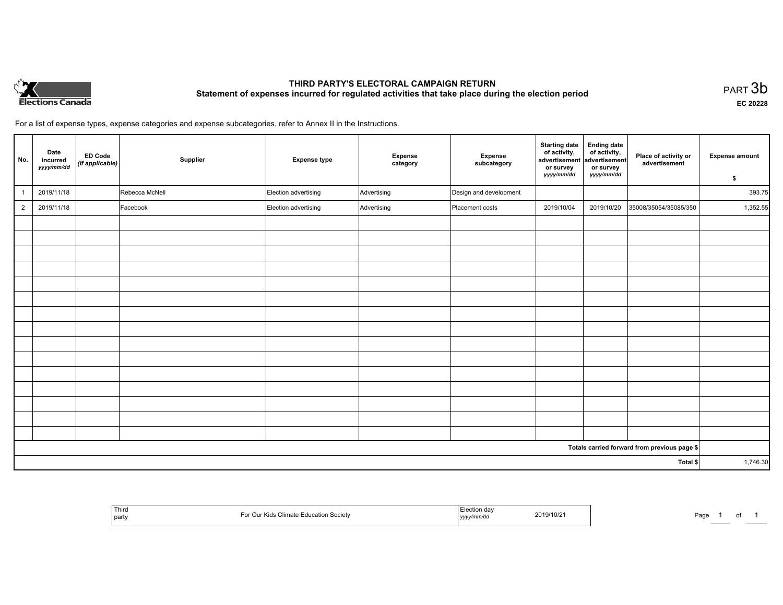

# **THIRD PARTY'S ELECTORAL CAMPAIGN RETURN Statement of expenses incurred for regulated activities that take place during the election period**<br>PART  $3b$

**EC 20228**

For a list of expense types, expense categories and expense subcategories, refer to Annex II in the Instructions.

| No.            | Date<br>incurred<br>yyyy/mm/dd | <b>ED Code</b><br>(if applicable) | Supplier       | <b>Expense type</b>  | Expense<br>category | Expense<br>subcategory | <b>Starting date</b><br>of activity,<br>advertisement<br>or survey | <b>Ending date</b><br>of activity,<br>advertisement<br>or survey | Place of activity or<br>advertisement        | <b>Expense amount</b> |
|----------------|--------------------------------|-----------------------------------|----------------|----------------------|---------------------|------------------------|--------------------------------------------------------------------|------------------------------------------------------------------|----------------------------------------------|-----------------------|
|                |                                |                                   |                |                      |                     |                        | yyyy/mm/dd                                                         | yyyy/mm/dd                                                       |                                              | \$                    |
|                | 2019/11/18                     |                                   | Rebecca McNell | Election advertising | Advertising         | Design and development |                                                                    |                                                                  |                                              | 393.75                |
| $\overline{2}$ | 2019/11/18                     |                                   | Facebook       | Election advertising | Advertising         | Placement costs        | 2019/10/04                                                         | 2019/10/20                                                       | 35008/35054/35085/350                        | 1,352.55              |
|                |                                |                                   |                |                      |                     |                        |                                                                    |                                                                  |                                              |                       |
|                |                                |                                   |                |                      |                     |                        |                                                                    |                                                                  |                                              |                       |
|                |                                |                                   |                |                      |                     |                        |                                                                    |                                                                  |                                              |                       |
|                |                                |                                   |                |                      |                     |                        |                                                                    |                                                                  |                                              |                       |
|                |                                |                                   |                |                      |                     |                        |                                                                    |                                                                  |                                              |                       |
|                |                                |                                   |                |                      |                     |                        |                                                                    |                                                                  |                                              |                       |
|                |                                |                                   |                |                      |                     |                        |                                                                    |                                                                  |                                              |                       |
|                |                                |                                   |                |                      |                     |                        |                                                                    |                                                                  |                                              |                       |
|                |                                |                                   |                |                      |                     |                        |                                                                    |                                                                  |                                              |                       |
|                |                                |                                   |                |                      |                     |                        |                                                                    |                                                                  |                                              |                       |
|                |                                |                                   |                |                      |                     |                        |                                                                    |                                                                  |                                              |                       |
|                |                                |                                   |                |                      |                     |                        |                                                                    |                                                                  |                                              |                       |
|                |                                |                                   |                |                      |                     |                        |                                                                    |                                                                  |                                              |                       |
|                |                                |                                   |                |                      |                     |                        |                                                                    |                                                                  |                                              |                       |
|                |                                |                                   |                |                      |                     |                        |                                                                    |                                                                  |                                              |                       |
|                |                                |                                   |                |                      |                     |                        |                                                                    |                                                                  | Totals carried forward from previous page \$ |                       |
| Total \$       |                                |                                   |                |                      |                     |                        |                                                                    | 1,746.30                                                         |                                              |                       |

| Third<br>  party | Climate .<br><b>Education Society</b><br>ri dr | ion da<br>2019/10/21<br>.<br>, уууулг | Paq |
|------------------|------------------------------------------------|---------------------------------------|-----|
|------------------|------------------------------------------------|---------------------------------------|-----|